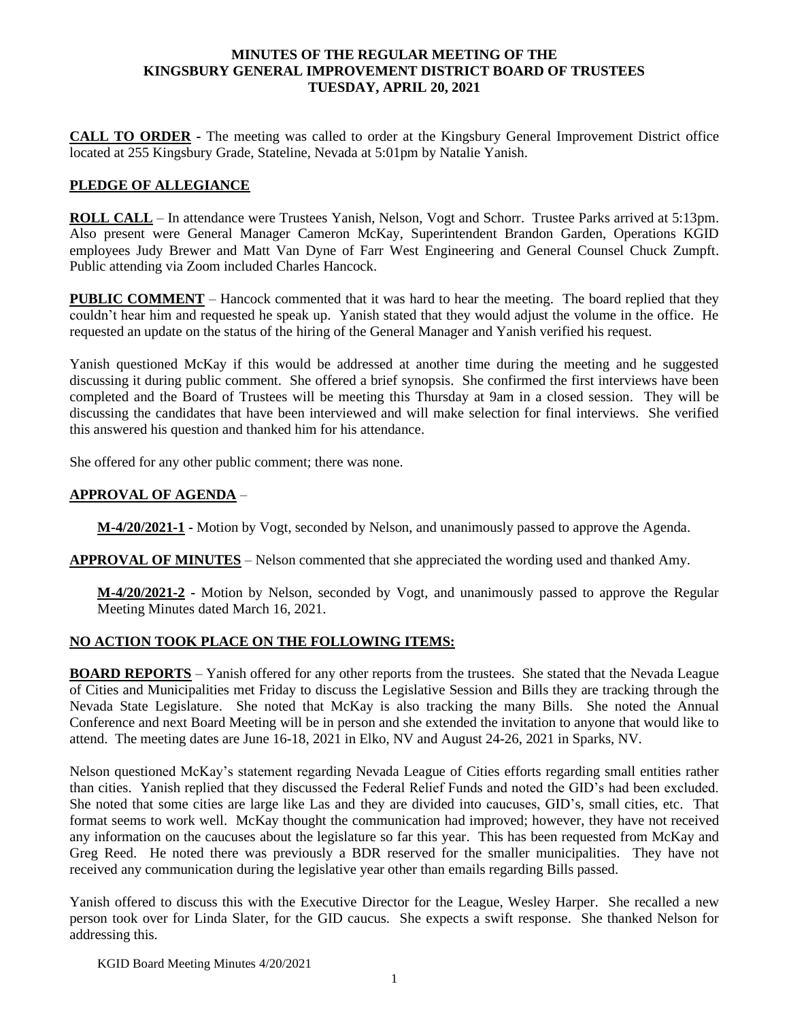### **MINUTES OF THE REGULAR MEETING OF THE KINGSBURY GENERAL IMPROVEMENT DISTRICT BOARD OF TRUSTEES TUESDAY, APRIL 20, 2021**

**CALL TO ORDER -** The meeting was called to order at the Kingsbury General Improvement District office located at 255 Kingsbury Grade, Stateline, Nevada at 5:01pm by Natalie Yanish.

## **PLEDGE OF ALLEGIANCE**

**ROLL CALL** – In attendance were Trustees Yanish, Nelson, Vogt and Schorr. Trustee Parks arrived at 5:13pm. Also present were General Manager Cameron McKay, Superintendent Brandon Garden, Operations KGID employees Judy Brewer and Matt Van Dyne of Farr West Engineering and General Counsel Chuck Zumpft. Public attending via Zoom included Charles Hancock.

**PUBLIC COMMENT** – Hancock commented that it was hard to hear the meeting. The board replied that they couldn't hear him and requested he speak up. Yanish stated that they would adjust the volume in the office. He requested an update on the status of the hiring of the General Manager and Yanish verified his request.

Yanish questioned McKay if this would be addressed at another time during the meeting and he suggested discussing it during public comment. She offered a brief synopsis. She confirmed the first interviews have been completed and the Board of Trustees will be meeting this Thursday at 9am in a closed session. They will be discussing the candidates that have been interviewed and will make selection for final interviews. She verified this answered his question and thanked him for his attendance.

She offered for any other public comment; there was none.

## **APPROVAL OF AGENDA** –

**M-4/20/2021-1 -** Motion by Vogt, seconded by Nelson, and unanimously passed to approve the Agenda.

**APPROVAL OF MINUTES** – Nelson commented that she appreciated the wording used and thanked Amy.

**M-4/20/2021-2 -** Motion by Nelson, seconded by Vogt, and unanimously passed to approve the Regular Meeting Minutes dated March 16, 2021.

# **NO ACTION TOOK PLACE ON THE FOLLOWING ITEMS:**

**BOARD REPORTS** – Yanish offered for any other reports from the trustees. She stated that the Nevada League of Cities and Municipalities met Friday to discuss the Legislative Session and Bills they are tracking through the Nevada State Legislature. She noted that McKay is also tracking the many Bills. She noted the Annual Conference and next Board Meeting will be in person and she extended the invitation to anyone that would like to attend. The meeting dates are June 16-18, 2021 in Elko, NV and August 24-26, 2021 in Sparks, NV.

Nelson questioned McKay's statement regarding Nevada League of Cities efforts regarding small entities rather than cities. Yanish replied that they discussed the Federal Relief Funds and noted the GID's had been excluded. She noted that some cities are large like Las and they are divided into caucuses, GID's, small cities, etc. That format seems to work well. McKay thought the communication had improved; however, they have not received any information on the caucuses about the legislature so far this year. This has been requested from McKay and Greg Reed. He noted there was previously a BDR reserved for the smaller municipalities. They have not received any communication during the legislative year other than emails regarding Bills passed.

Yanish offered to discuss this with the Executive Director for the League, Wesley Harper. She recalled a new person took over for Linda Slater, for the GID caucus. She expects a swift response. She thanked Nelson for addressing this.

KGID Board Meeting Minutes 4/20/2021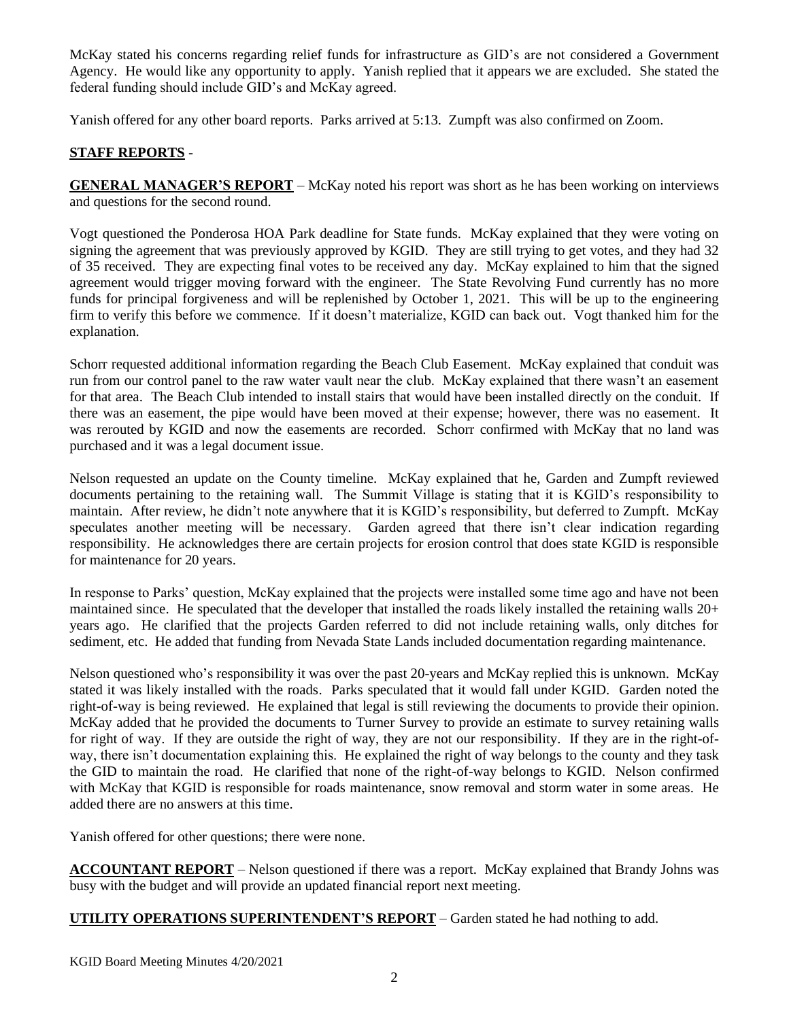McKay stated his concerns regarding relief funds for infrastructure as GID's are not considered a Government Agency. He would like any opportunity to apply. Yanish replied that it appears we are excluded. She stated the federal funding should include GID's and McKay agreed.

Yanish offered for any other board reports. Parks arrived at 5:13. Zumpft was also confirmed on Zoom.

# **STAFF REPORTS** -

**GENERAL MANAGER'S REPORT** – McKay noted his report was short as he has been working on interviews and questions for the second round.

Vogt questioned the Ponderosa HOA Park deadline for State funds. McKay explained that they were voting on signing the agreement that was previously approved by KGID. They are still trying to get votes, and they had 32 of 35 received. They are expecting final votes to be received any day. McKay explained to him that the signed agreement would trigger moving forward with the engineer. The State Revolving Fund currently has no more funds for principal forgiveness and will be replenished by October 1, 2021. This will be up to the engineering firm to verify this before we commence. If it doesn't materialize, KGID can back out. Vogt thanked him for the explanation.

Schorr requested additional information regarding the Beach Club Easement. McKay explained that conduit was run from our control panel to the raw water vault near the club. McKay explained that there wasn't an easement for that area. The Beach Club intended to install stairs that would have been installed directly on the conduit. If there was an easement, the pipe would have been moved at their expense; however, there was no easement. It was rerouted by KGID and now the easements are recorded. Schorr confirmed with McKay that no land was purchased and it was a legal document issue.

Nelson requested an update on the County timeline. McKay explained that he, Garden and Zumpft reviewed documents pertaining to the retaining wall. The Summit Village is stating that it is KGID's responsibility to maintain. After review, he didn't note anywhere that it is KGID's responsibility, but deferred to Zumpft. McKay speculates another meeting will be necessary. Garden agreed that there isn't clear indication regarding responsibility. He acknowledges there are certain projects for erosion control that does state KGID is responsible for maintenance for 20 years.

In response to Parks' question, McKay explained that the projects were installed some time ago and have not been maintained since. He speculated that the developer that installed the roads likely installed the retaining walls 20+ years ago. He clarified that the projects Garden referred to did not include retaining walls, only ditches for sediment, etc. He added that funding from Nevada State Lands included documentation regarding maintenance.

Nelson questioned who's responsibility it was over the past 20-years and McKay replied this is unknown. McKay stated it was likely installed with the roads. Parks speculated that it would fall under KGID. Garden noted the right-of-way is being reviewed. He explained that legal is still reviewing the documents to provide their opinion. McKay added that he provided the documents to Turner Survey to provide an estimate to survey retaining walls for right of way. If they are outside the right of way, they are not our responsibility. If they are in the right-ofway, there isn't documentation explaining this. He explained the right of way belongs to the county and they task the GID to maintain the road. He clarified that none of the right-of-way belongs to KGID. Nelson confirmed with McKay that KGID is responsible for roads maintenance, snow removal and storm water in some areas. He added there are no answers at this time.

Yanish offered for other questions; there were none.

**ACCOUNTANT REPORT** – Nelson questioned if there was a report. McKay explained that Brandy Johns was busy with the budget and will provide an updated financial report next meeting.

# **UTILITY OPERATIONS SUPERINTENDENT'S REPORT** – Garden stated he had nothing to add.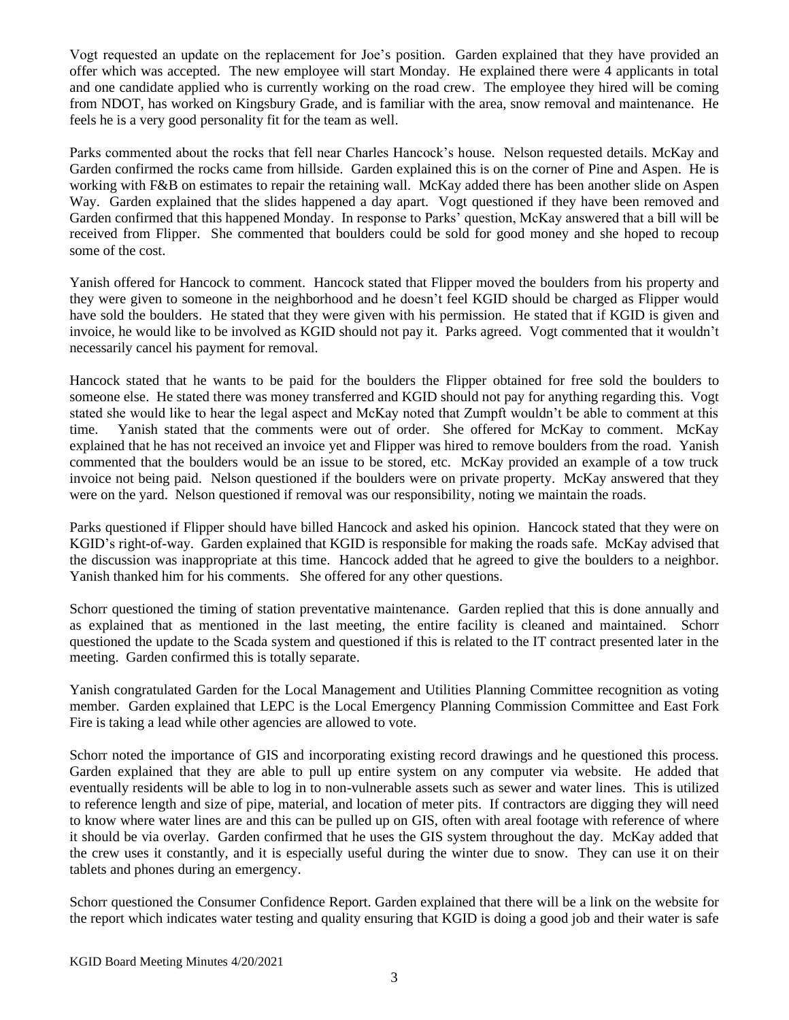Vogt requested an update on the replacement for Joe's position. Garden explained that they have provided an offer which was accepted. The new employee will start Monday. He explained there were 4 applicants in total and one candidate applied who is currently working on the road crew. The employee they hired will be coming from NDOT, has worked on Kingsbury Grade, and is familiar with the area, snow removal and maintenance. He feels he is a very good personality fit for the team as well.

Parks commented about the rocks that fell near Charles Hancock's house. Nelson requested details. McKay and Garden confirmed the rocks came from hillside. Garden explained this is on the corner of Pine and Aspen. He is working with F&B on estimates to repair the retaining wall. McKay added there has been another slide on Aspen Way. Garden explained that the slides happened a day apart. Vogt questioned if they have been removed and Garden confirmed that this happened Monday. In response to Parks' question, McKay answered that a bill will be received from Flipper. She commented that boulders could be sold for good money and she hoped to recoup some of the cost.

Yanish offered for Hancock to comment. Hancock stated that Flipper moved the boulders from his property and they were given to someone in the neighborhood and he doesn't feel KGID should be charged as Flipper would have sold the boulders. He stated that they were given with his permission. He stated that if KGID is given and invoice, he would like to be involved as KGID should not pay it. Parks agreed. Vogt commented that it wouldn't necessarily cancel his payment for removal.

Hancock stated that he wants to be paid for the boulders the Flipper obtained for free sold the boulders to someone else. He stated there was money transferred and KGID should not pay for anything regarding this. Vogt stated she would like to hear the legal aspect and McKay noted that Zumpft wouldn't be able to comment at this time. Yanish stated that the comments were out of order. She offered for McKay to comment. McKay explained that he has not received an invoice yet and Flipper was hired to remove boulders from the road. Yanish commented that the boulders would be an issue to be stored, etc. McKay provided an example of a tow truck invoice not being paid. Nelson questioned if the boulders were on private property. McKay answered that they were on the yard. Nelson questioned if removal was our responsibility, noting we maintain the roads.

Parks questioned if Flipper should have billed Hancock and asked his opinion. Hancock stated that they were on KGID's right-of-way. Garden explained that KGID is responsible for making the roads safe. McKay advised that the discussion was inappropriate at this time. Hancock added that he agreed to give the boulders to a neighbor. Yanish thanked him for his comments. She offered for any other questions.

Schorr questioned the timing of station preventative maintenance. Garden replied that this is done annually and as explained that as mentioned in the last meeting, the entire facility is cleaned and maintained. Schorr questioned the update to the Scada system and questioned if this is related to the IT contract presented later in the meeting. Garden confirmed this is totally separate.

Yanish congratulated Garden for the Local Management and Utilities Planning Committee recognition as voting member. Garden explained that LEPC is the Local Emergency Planning Commission Committee and East Fork Fire is taking a lead while other agencies are allowed to vote.

Schorr noted the importance of GIS and incorporating existing record drawings and he questioned this process. Garden explained that they are able to pull up entire system on any computer via website. He added that eventually residents will be able to log in to non-vulnerable assets such as sewer and water lines. This is utilized to reference length and size of pipe, material, and location of meter pits. If contractors are digging they will need to know where water lines are and this can be pulled up on GIS, often with areal footage with reference of where it should be via overlay. Garden confirmed that he uses the GIS system throughout the day. McKay added that the crew uses it constantly, and it is especially useful during the winter due to snow. They can use it on their tablets and phones during an emergency.

Schorr questioned the Consumer Confidence Report. Garden explained that there will be a link on the website for the report which indicates water testing and quality ensuring that KGID is doing a good job and their water is safe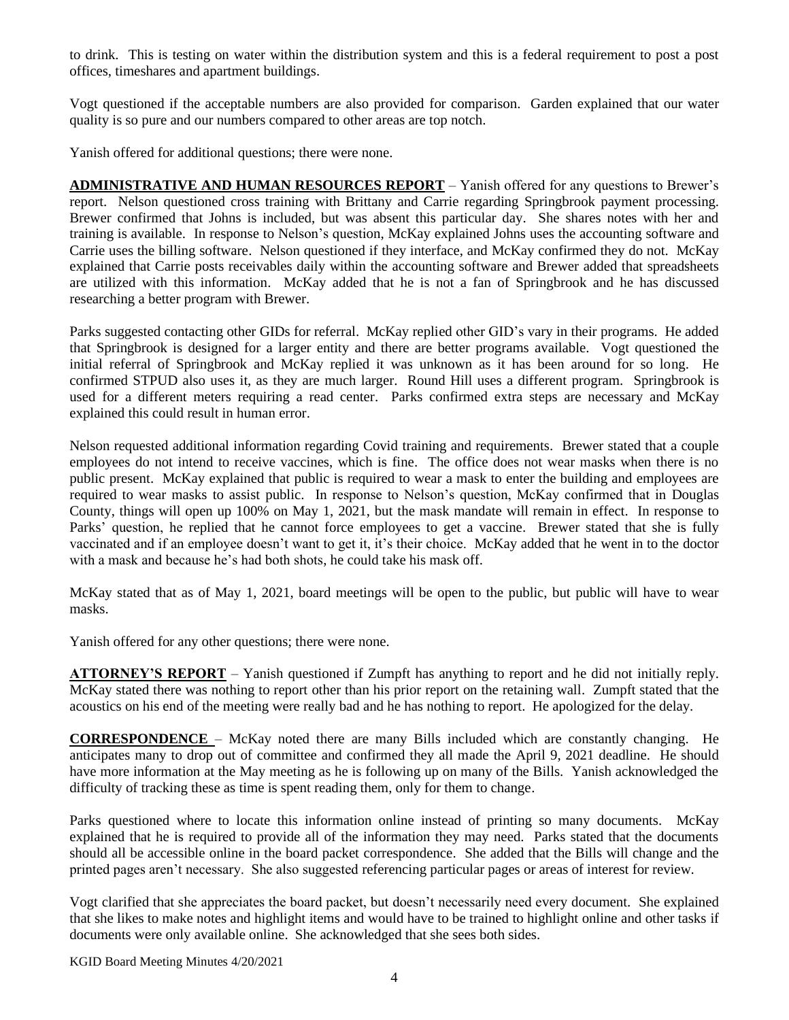to drink. This is testing on water within the distribution system and this is a federal requirement to post a post offices, timeshares and apartment buildings.

Vogt questioned if the acceptable numbers are also provided for comparison. Garden explained that our water quality is so pure and our numbers compared to other areas are top notch.

Yanish offered for additional questions; there were none.

**ADMINISTRATIVE AND HUMAN RESOURCES REPORT** – Yanish offered for any questions to Brewer's report. Nelson questioned cross training with Brittany and Carrie regarding Springbrook payment processing. Brewer confirmed that Johns is included, but was absent this particular day. She shares notes with her and training is available. In response to Nelson's question, McKay explained Johns uses the accounting software and Carrie uses the billing software. Nelson questioned if they interface, and McKay confirmed they do not. McKay explained that Carrie posts receivables daily within the accounting software and Brewer added that spreadsheets are utilized with this information. McKay added that he is not a fan of Springbrook and he has discussed researching a better program with Brewer.

Parks suggested contacting other GIDs for referral. McKay replied other GID's vary in their programs. He added that Springbrook is designed for a larger entity and there are better programs available. Vogt questioned the initial referral of Springbrook and McKay replied it was unknown as it has been around for so long. He confirmed STPUD also uses it, as they are much larger. Round Hill uses a different program. Springbrook is used for a different meters requiring a read center. Parks confirmed extra steps are necessary and McKay explained this could result in human error.

Nelson requested additional information regarding Covid training and requirements. Brewer stated that a couple employees do not intend to receive vaccines, which is fine. The office does not wear masks when there is no public present. McKay explained that public is required to wear a mask to enter the building and employees are required to wear masks to assist public. In response to Nelson's question, McKay confirmed that in Douglas County, things will open up 100% on May 1, 2021, but the mask mandate will remain in effect. In response to Parks' question, he replied that he cannot force employees to get a vaccine. Brewer stated that she is fully vaccinated and if an employee doesn't want to get it, it's their choice. McKay added that he went in to the doctor with a mask and because he's had both shots, he could take his mask off.

McKay stated that as of May 1, 2021, board meetings will be open to the public, but public will have to wear masks.

Yanish offered for any other questions; there were none.

**ATTORNEY'S REPORT** – Yanish questioned if Zumpft has anything to report and he did not initially reply. McKay stated there was nothing to report other than his prior report on the retaining wall. Zumpft stated that the acoustics on his end of the meeting were really bad and he has nothing to report. He apologized for the delay.

**CORRESPONDENCE** – McKay noted there are many Bills included which are constantly changing. He anticipates many to drop out of committee and confirmed they all made the April 9, 2021 deadline. He should have more information at the May meeting as he is following up on many of the Bills. Yanish acknowledged the difficulty of tracking these as time is spent reading them, only for them to change.

Parks questioned where to locate this information online instead of printing so many documents. McKay explained that he is required to provide all of the information they may need. Parks stated that the documents should all be accessible online in the board packet correspondence. She added that the Bills will change and the printed pages aren't necessary. She also suggested referencing particular pages or areas of interest for review.

Vogt clarified that she appreciates the board packet, but doesn't necessarily need every document. She explained that she likes to make notes and highlight items and would have to be trained to highlight online and other tasks if documents were only available online. She acknowledged that she sees both sides.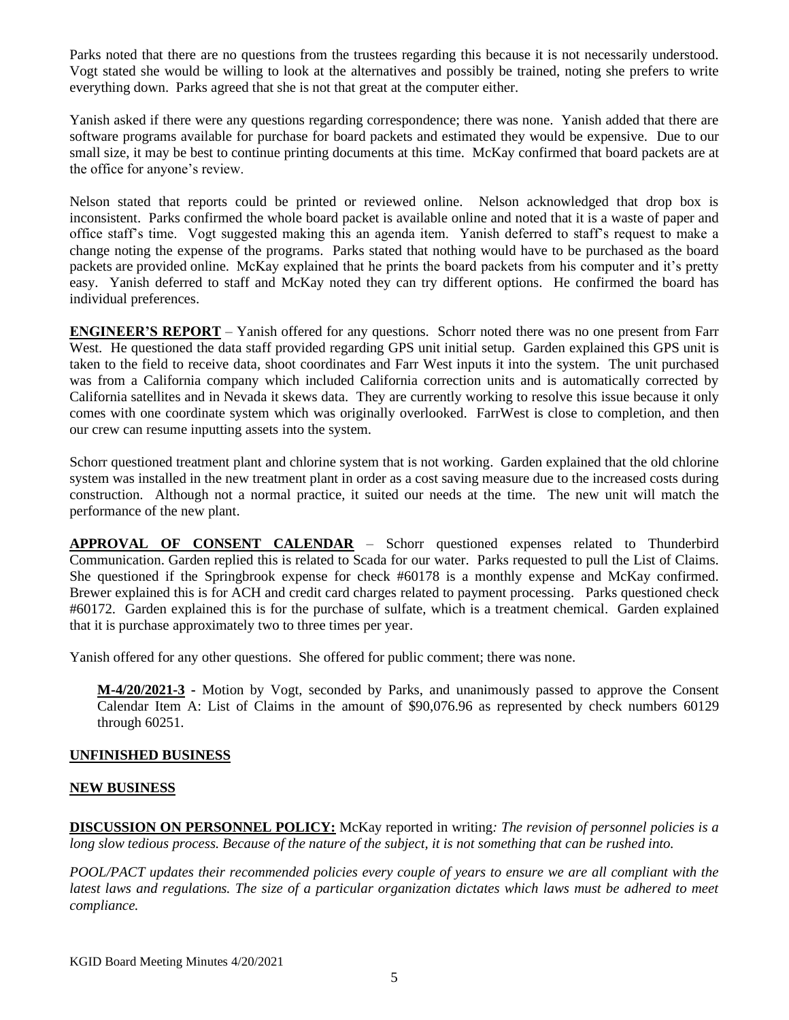Parks noted that there are no questions from the trustees regarding this because it is not necessarily understood. Vogt stated she would be willing to look at the alternatives and possibly be trained, noting she prefers to write everything down. Parks agreed that she is not that great at the computer either.

Yanish asked if there were any questions regarding correspondence; there was none. Yanish added that there are software programs available for purchase for board packets and estimated they would be expensive. Due to our small size, it may be best to continue printing documents at this time. McKay confirmed that board packets are at the office for anyone's review.

Nelson stated that reports could be printed or reviewed online. Nelson acknowledged that drop box is inconsistent. Parks confirmed the whole board packet is available online and noted that it is a waste of paper and office staff's time. Vogt suggested making this an agenda item. Yanish deferred to staff's request to make a change noting the expense of the programs. Parks stated that nothing would have to be purchased as the board packets are provided online. McKay explained that he prints the board packets from his computer and it's pretty easy. Yanish deferred to staff and McKay noted they can try different options. He confirmed the board has individual preferences.

**ENGINEER'S REPORT** – Yanish offered for any questions. Schorr noted there was no one present from Farr West. He questioned the data staff provided regarding GPS unit initial setup. Garden explained this GPS unit is taken to the field to receive data, shoot coordinates and Farr West inputs it into the system. The unit purchased was from a California company which included California correction units and is automatically corrected by California satellites and in Nevada it skews data. They are currently working to resolve this issue because it only comes with one coordinate system which was originally overlooked. FarrWest is close to completion, and then our crew can resume inputting assets into the system.

Schorr questioned treatment plant and chlorine system that is not working. Garden explained that the old chlorine system was installed in the new treatment plant in order as a cost saving measure due to the increased costs during construction. Although not a normal practice, it suited our needs at the time. The new unit will match the performance of the new plant.

**APPROVAL OF CONSENT CALENDAR** – Schorr questioned expenses related to Thunderbird Communication. Garden replied this is related to Scada for our water. Parks requested to pull the List of Claims. She questioned if the Springbrook expense for check #60178 is a monthly expense and McKay confirmed. Brewer explained this is for ACH and credit card charges related to payment processing. Parks questioned check #60172. Garden explained this is for the purchase of sulfate, which is a treatment chemical. Garden explained that it is purchase approximately two to three times per year.

Yanish offered for any other questions. She offered for public comment; there was none.

**M-4/20/2021-3 -** Motion by Vogt, seconded by Parks, and unanimously passed to approve the Consent Calendar Item A: List of Claims in the amount of \$90,076.96 as represented by check numbers 60129 through 60251.

### **UNFINISHED BUSINESS**

### **NEW BUSINESS**

**DISCUSSION ON PERSONNEL POLICY:** McKay reported in writing*: The revision of personnel policies is a long slow tedious process. Because of the nature of the subject, it is not something that can be rushed into.* 

*POOL/PACT updates their recommended policies every couple of years to ensure we are all compliant with the latest laws and regulations. The size of a particular organization dictates which laws must be adhered to meet compliance.*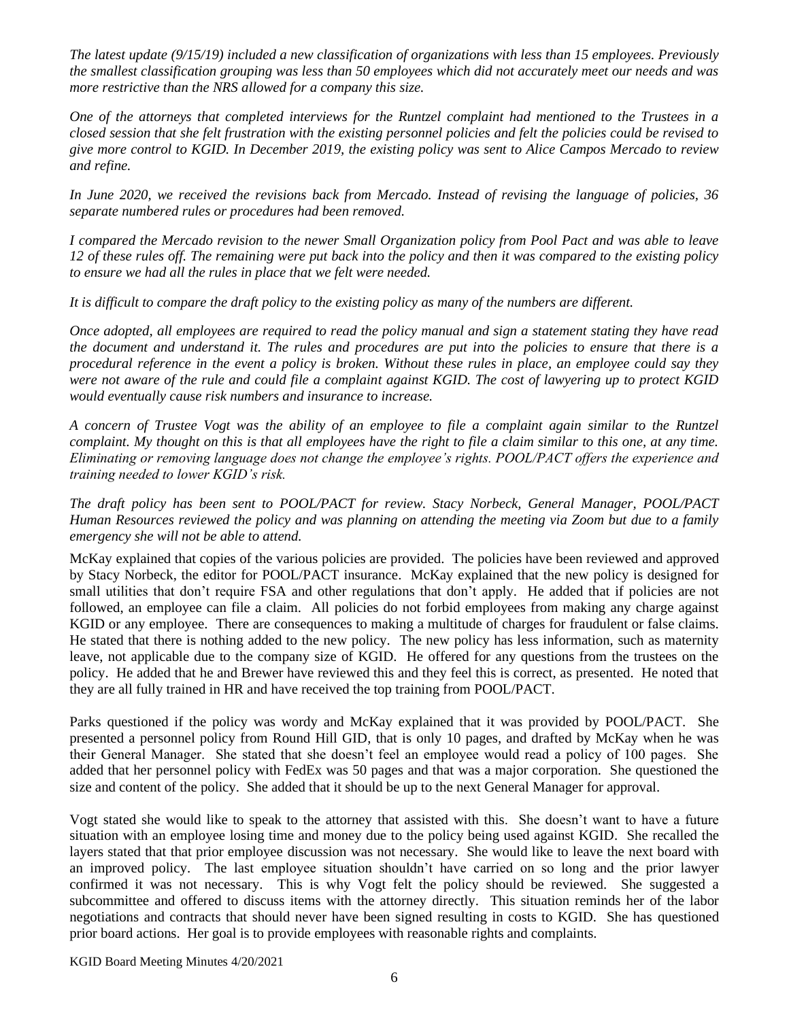*The latest update (9/15/19) included a new classification of organizations with less than 15 employees. Previously the smallest classification grouping was less than 50 employees which did not accurately meet our needs and was more restrictive than the NRS allowed for a company this size.*

*One of the attorneys that completed interviews for the Runtzel complaint had mentioned to the Trustees in a closed session that she felt frustration with the existing personnel policies and felt the policies could be revised to give more control to KGID. In December 2019, the existing policy was sent to Alice Campos Mercado to review and refine.* 

*In June 2020, we received the revisions back from Mercado. Instead of revising the language of policies, 36 separate numbered rules or procedures had been removed.* 

*I compared the Mercado revision to the newer Small Organization policy from Pool Pact and was able to leave 12 of these rules off. The remaining were put back into the policy and then it was compared to the existing policy to ensure we had all the rules in place that we felt were needed.* 

*It is difficult to compare the draft policy to the existing policy as many of the numbers are different.* 

*Once adopted, all employees are required to read the policy manual and sign a statement stating they have read the document and understand it. The rules and procedures are put into the policies to ensure that there is a procedural reference in the event a policy is broken. Without these rules in place, an employee could say they were not aware of the rule and could file a complaint against KGID. The cost of lawyering up to protect KGID would eventually cause risk numbers and insurance to increase.* 

*A concern of Trustee Vogt was the ability of an employee to file a complaint again similar to the Runtzel complaint. My thought on this is that all employees have the right to file a claim similar to this one, at any time. Eliminating or removing language does not change the employee's rights. POOL/PACT offers the experience and training needed to lower KGID's risk.*

*The draft policy has been sent to POOL/PACT for review. Stacy Norbeck, General Manager, POOL/PACT Human Resources reviewed the policy and was planning on attending the meeting via Zoom but due to a family emergency she will not be able to attend.*

McKay explained that copies of the various policies are provided. The policies have been reviewed and approved by Stacy Norbeck, the editor for POOL/PACT insurance. McKay explained that the new policy is designed for small utilities that don't require FSA and other regulations that don't apply. He added that if policies are not followed, an employee can file a claim. All policies do not forbid employees from making any charge against KGID or any employee. There are consequences to making a multitude of charges for fraudulent or false claims. He stated that there is nothing added to the new policy. The new policy has less information, such as maternity leave, not applicable due to the company size of KGID. He offered for any questions from the trustees on the policy. He added that he and Brewer have reviewed this and they feel this is correct, as presented. He noted that they are all fully trained in HR and have received the top training from POOL/PACT.

Parks questioned if the policy was wordy and McKay explained that it was provided by POOL/PACT. She presented a personnel policy from Round Hill GID, that is only 10 pages, and drafted by McKay when he was their General Manager. She stated that she doesn't feel an employee would read a policy of 100 pages. She added that her personnel policy with FedEx was 50 pages and that was a major corporation. She questioned the size and content of the policy. She added that it should be up to the next General Manager for approval.

Vogt stated she would like to speak to the attorney that assisted with this. She doesn't want to have a future situation with an employee losing time and money due to the policy being used against KGID. She recalled the layers stated that that prior employee discussion was not necessary. She would like to leave the next board with an improved policy. The last employee situation shouldn't have carried on so long and the prior lawyer confirmed it was not necessary. This is why Vogt felt the policy should be reviewed. She suggested a subcommittee and offered to discuss items with the attorney directly. This situation reminds her of the labor negotiations and contracts that should never have been signed resulting in costs to KGID. She has questioned prior board actions. Her goal is to provide employees with reasonable rights and complaints.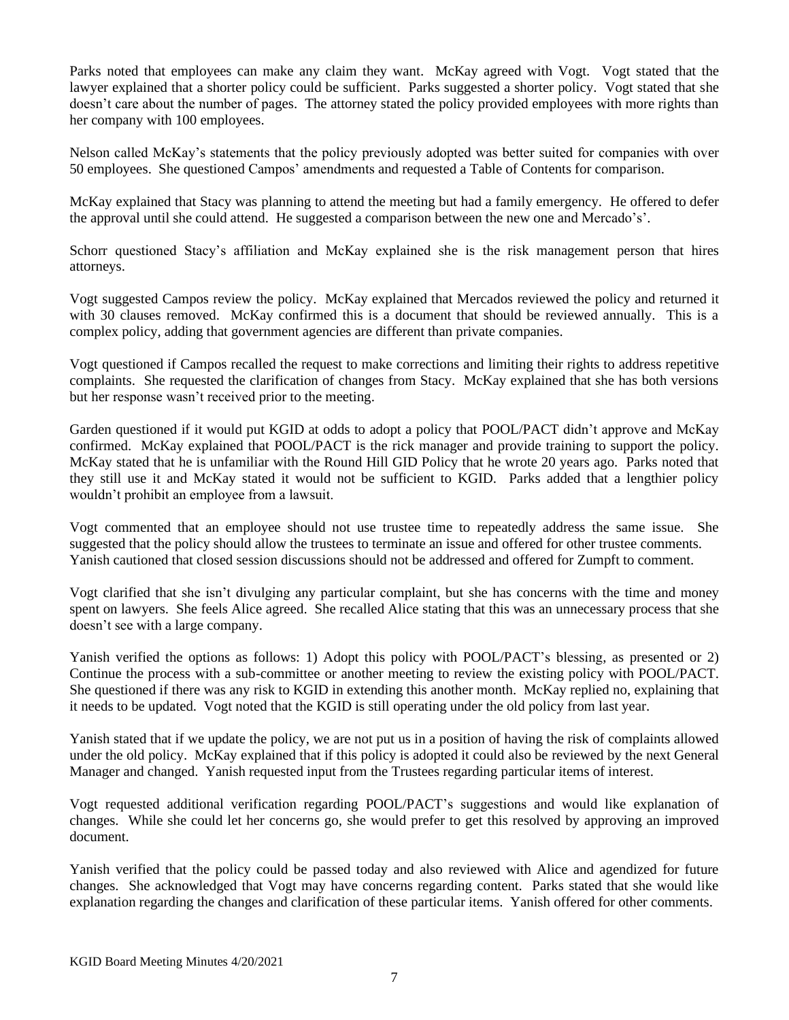Parks noted that employees can make any claim they want. McKay agreed with Vogt. Vogt stated that the lawyer explained that a shorter policy could be sufficient. Parks suggested a shorter policy. Vogt stated that she doesn't care about the number of pages. The attorney stated the policy provided employees with more rights than her company with 100 employees.

Nelson called McKay's statements that the policy previously adopted was better suited for companies with over 50 employees. She questioned Campos' amendments and requested a Table of Contents for comparison.

McKay explained that Stacy was planning to attend the meeting but had a family emergency. He offered to defer the approval until she could attend. He suggested a comparison between the new one and Mercado's'.

Schorr questioned Stacy's affiliation and McKay explained she is the risk management person that hires attorneys.

Vogt suggested Campos review the policy. McKay explained that Mercados reviewed the policy and returned it with 30 clauses removed. McKay confirmed this is a document that should be reviewed annually. This is a complex policy, adding that government agencies are different than private companies.

Vogt questioned if Campos recalled the request to make corrections and limiting their rights to address repetitive complaints. She requested the clarification of changes from Stacy. McKay explained that she has both versions but her response wasn't received prior to the meeting.

Garden questioned if it would put KGID at odds to adopt a policy that POOL/PACT didn't approve and McKay confirmed. McKay explained that POOL/PACT is the rick manager and provide training to support the policy. McKay stated that he is unfamiliar with the Round Hill GID Policy that he wrote 20 years ago. Parks noted that they still use it and McKay stated it would not be sufficient to KGID. Parks added that a lengthier policy wouldn't prohibit an employee from a lawsuit.

Vogt commented that an employee should not use trustee time to repeatedly address the same issue. She suggested that the policy should allow the trustees to terminate an issue and offered for other trustee comments. Yanish cautioned that closed session discussions should not be addressed and offered for Zumpft to comment.

Vogt clarified that she isn't divulging any particular complaint, but she has concerns with the time and money spent on lawyers. She feels Alice agreed. She recalled Alice stating that this was an unnecessary process that she doesn't see with a large company.

Yanish verified the options as follows: 1) Adopt this policy with POOL/PACT's blessing, as presented or 2) Continue the process with a sub-committee or another meeting to review the existing policy with POOL/PACT. She questioned if there was any risk to KGID in extending this another month. McKay replied no, explaining that it needs to be updated. Vogt noted that the KGID is still operating under the old policy from last year.

Yanish stated that if we update the policy, we are not put us in a position of having the risk of complaints allowed under the old policy. McKay explained that if this policy is adopted it could also be reviewed by the next General Manager and changed. Yanish requested input from the Trustees regarding particular items of interest.

Vogt requested additional verification regarding POOL/PACT's suggestions and would like explanation of changes. While she could let her concerns go, she would prefer to get this resolved by approving an improved document.

Yanish verified that the policy could be passed today and also reviewed with Alice and agendized for future changes. She acknowledged that Vogt may have concerns regarding content. Parks stated that she would like explanation regarding the changes and clarification of these particular items. Yanish offered for other comments.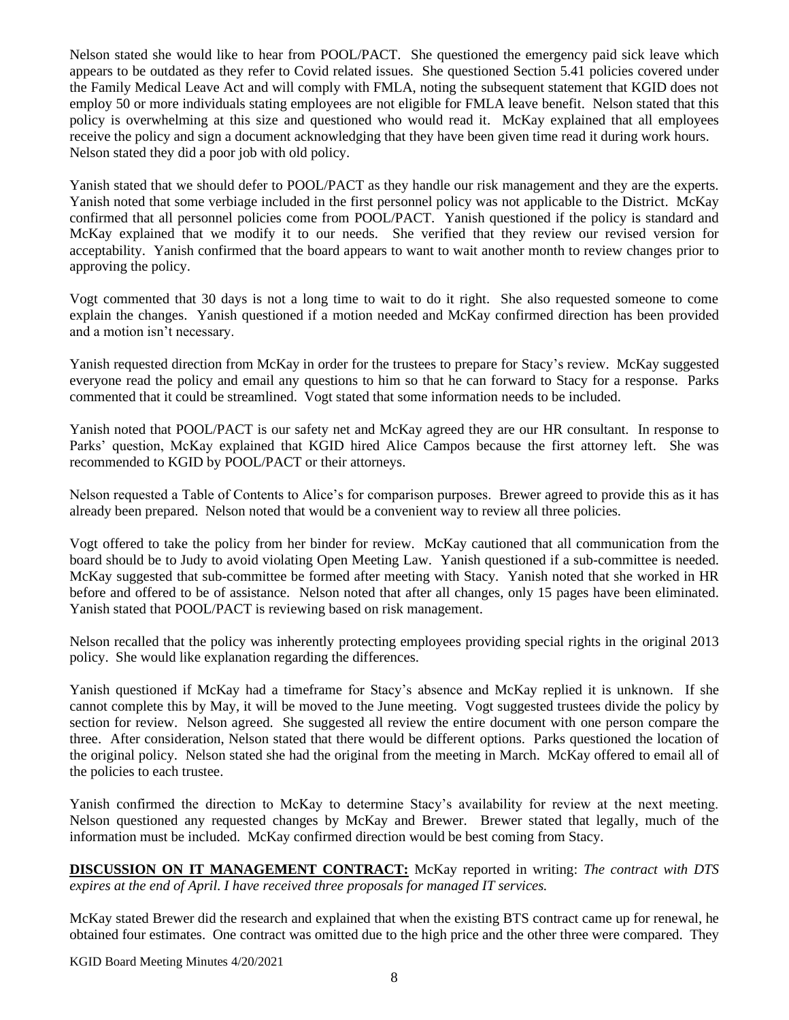Nelson stated she would like to hear from POOL/PACT. She questioned the emergency paid sick leave which appears to be outdated as they refer to Covid related issues. She questioned Section 5.41 policies covered under the Family Medical Leave Act and will comply with FMLA, noting the subsequent statement that KGID does not employ 50 or more individuals stating employees are not eligible for FMLA leave benefit. Nelson stated that this policy is overwhelming at this size and questioned who would read it. McKay explained that all employees receive the policy and sign a document acknowledging that they have been given time read it during work hours. Nelson stated they did a poor job with old policy.

Yanish stated that we should defer to POOL/PACT as they handle our risk management and they are the experts. Yanish noted that some verbiage included in the first personnel policy was not applicable to the District. McKay confirmed that all personnel policies come from POOL/PACT. Yanish questioned if the policy is standard and McKay explained that we modify it to our needs. She verified that they review our revised version for acceptability. Yanish confirmed that the board appears to want to wait another month to review changes prior to approving the policy.

Vogt commented that 30 days is not a long time to wait to do it right. She also requested someone to come explain the changes. Yanish questioned if a motion needed and McKay confirmed direction has been provided and a motion isn't necessary.

Yanish requested direction from McKay in order for the trustees to prepare for Stacy's review. McKay suggested everyone read the policy and email any questions to him so that he can forward to Stacy for a response. Parks commented that it could be streamlined. Vogt stated that some information needs to be included.

Yanish noted that POOL/PACT is our safety net and McKay agreed they are our HR consultant. In response to Parks' question, McKay explained that KGID hired Alice Campos because the first attorney left. She was recommended to KGID by POOL/PACT or their attorneys.

Nelson requested a Table of Contents to Alice's for comparison purposes. Brewer agreed to provide this as it has already been prepared. Nelson noted that would be a convenient way to review all three policies.

Vogt offered to take the policy from her binder for review. McKay cautioned that all communication from the board should be to Judy to avoid violating Open Meeting Law. Yanish questioned if a sub-committee is needed. McKay suggested that sub-committee be formed after meeting with Stacy. Yanish noted that she worked in HR before and offered to be of assistance. Nelson noted that after all changes, only 15 pages have been eliminated. Yanish stated that POOL/PACT is reviewing based on risk management.

Nelson recalled that the policy was inherently protecting employees providing special rights in the original 2013 policy. She would like explanation regarding the differences.

Yanish questioned if McKay had a timeframe for Stacy's absence and McKay replied it is unknown. If she cannot complete this by May, it will be moved to the June meeting. Vogt suggested trustees divide the policy by section for review. Nelson agreed. She suggested all review the entire document with one person compare the three. After consideration, Nelson stated that there would be different options. Parks questioned the location of the original policy. Nelson stated she had the original from the meeting in March. McKay offered to email all of the policies to each trustee.

Yanish confirmed the direction to McKay to determine Stacy's availability for review at the next meeting. Nelson questioned any requested changes by McKay and Brewer. Brewer stated that legally, much of the information must be included. McKay confirmed direction would be best coming from Stacy.

**DISCUSSION ON IT MANAGEMENT CONTRACT:** McKay reported in writing: *The contract with DTS expires at the end of April. I have received three proposals for managed IT services.*

McKay stated Brewer did the research and explained that when the existing BTS contract came up for renewal, he obtained four estimates. One contract was omitted due to the high price and the other three were compared. They

KGID Board Meeting Minutes 4/20/2021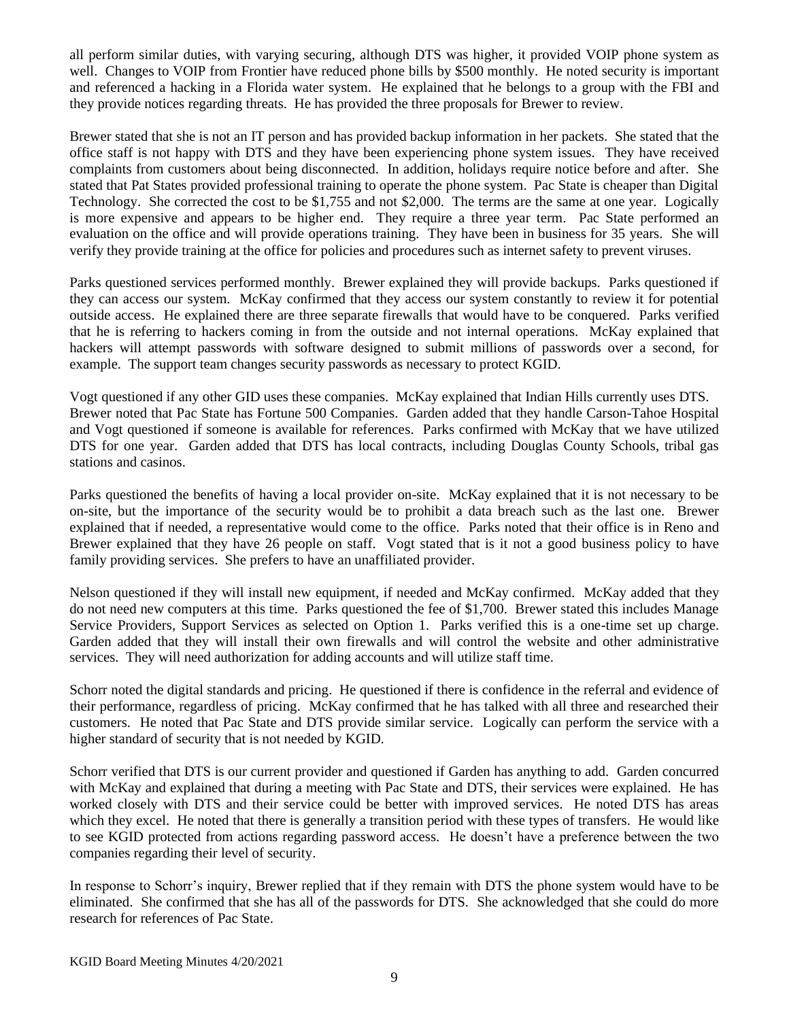all perform similar duties, with varying securing, although DTS was higher, it provided VOIP phone system as well. Changes to VOIP from Frontier have reduced phone bills by \$500 monthly. He noted security is important and referenced a hacking in a Florida water system. He explained that he belongs to a group with the FBI and they provide notices regarding threats. He has provided the three proposals for Brewer to review.

Brewer stated that she is not an IT person and has provided backup information in her packets. She stated that the office staff is not happy with DTS and they have been experiencing phone system issues. They have received complaints from customers about being disconnected. In addition, holidays require notice before and after. She stated that Pat States provided professional training to operate the phone system. Pac State is cheaper than Digital Technology. She corrected the cost to be \$1,755 and not \$2,000. The terms are the same at one year. Logically is more expensive and appears to be higher end. They require a three year term. Pac State performed an evaluation on the office and will provide operations training. They have been in business for 35 years. She will verify they provide training at the office for policies and procedures such as internet safety to prevent viruses.

Parks questioned services performed monthly. Brewer explained they will provide backups. Parks questioned if they can access our system. McKay confirmed that they access our system constantly to review it for potential outside access. He explained there are three separate firewalls that would have to be conquered. Parks verified that he is referring to hackers coming in from the outside and not internal operations. McKay explained that hackers will attempt passwords with software designed to submit millions of passwords over a second, for example. The support team changes security passwords as necessary to protect KGID.

Vogt questioned if any other GID uses these companies. McKay explained that Indian Hills currently uses DTS. Brewer noted that Pac State has Fortune 500 Companies. Garden added that they handle Carson-Tahoe Hospital and Vogt questioned if someone is available for references. Parks confirmed with McKay that we have utilized DTS for one year. Garden added that DTS has local contracts, including Douglas County Schools, tribal gas stations and casinos.

Parks questioned the benefits of having a local provider on-site. McKay explained that it is not necessary to be on-site, but the importance of the security would be to prohibit a data breach such as the last one. Brewer explained that if needed, a representative would come to the office. Parks noted that their office is in Reno and Brewer explained that they have 26 people on staff. Vogt stated that is it not a good business policy to have family providing services. She prefers to have an unaffiliated provider.

Nelson questioned if they will install new equipment, if needed and McKay confirmed. McKay added that they do not need new computers at this time. Parks questioned the fee of \$1,700. Brewer stated this includes Manage Service Providers, Support Services as selected on Option 1. Parks verified this is a one-time set up charge. Garden added that they will install their own firewalls and will control the website and other administrative services. They will need authorization for adding accounts and will utilize staff time.

Schorr noted the digital standards and pricing. He questioned if there is confidence in the referral and evidence of their performance, regardless of pricing. McKay confirmed that he has talked with all three and researched their customers. He noted that Pac State and DTS provide similar service. Logically can perform the service with a higher standard of security that is not needed by KGID.

Schorr verified that DTS is our current provider and questioned if Garden has anything to add. Garden concurred with McKay and explained that during a meeting with Pac State and DTS, their services were explained. He has worked closely with DTS and their service could be better with improved services. He noted DTS has areas which they excel. He noted that there is generally a transition period with these types of transfers. He would like to see KGID protected from actions regarding password access. He doesn't have a preference between the two companies regarding their level of security.

In response to Schorr's inquiry, Brewer replied that if they remain with DTS the phone system would have to be eliminated. She confirmed that she has all of the passwords for DTS. She acknowledged that she could do more research for references of Pac State.